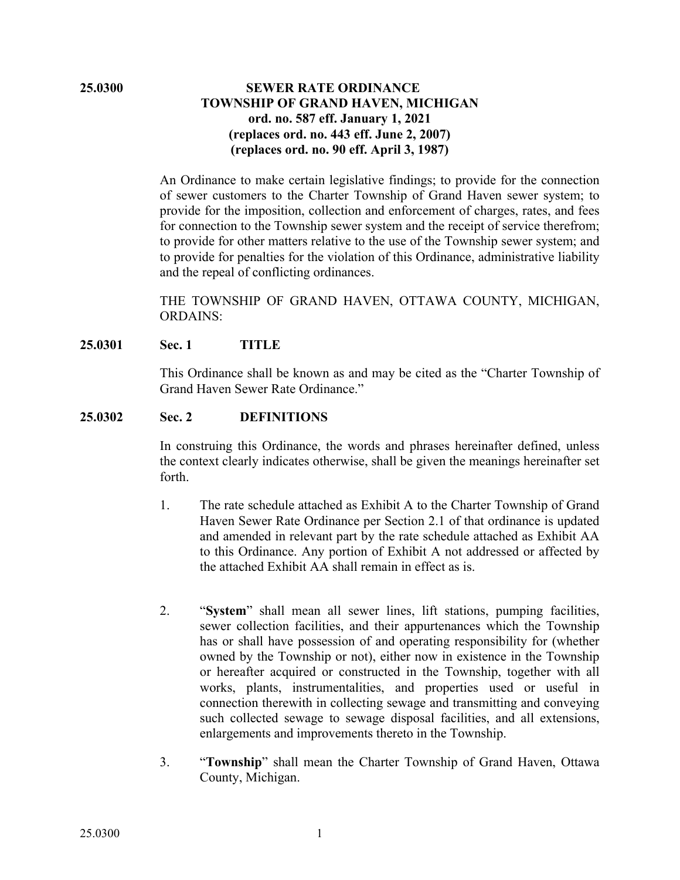# **25.0300 SEWER RATE ORDINANCE TOWNSHIP OF GRAND HAVEN, MICHIGAN ord. no. 587 eff. January 1, 2021 (replaces ord. no. 443 eff. June 2, 2007) (replaces ord. no. 90 eff. April 3, 1987)**

An Ordinance to make certain legislative findings; to provide for the connection of sewer customers to the Charter Township of Grand Haven sewer system; to provide for the imposition, collection and enforcement of charges, rates, and fees for connection to the Township sewer system and the receipt of service therefrom; to provide for other matters relative to the use of the Township sewer system; and to provide for penalties for the violation of this Ordinance, administrative liability and the repeal of conflicting ordinances.

THE TOWNSHIP OF GRAND HAVEN, OTTAWA COUNTY, MICHIGAN, ORDAINS:

#### **25.0301 Sec. 1 TITLE**

This Ordinance shall be known as and may be cited as the "Charter Township of Grand Haven Sewer Rate Ordinance."

#### **25.0302 Sec. 2 DEFINITIONS**

In construing this Ordinance, the words and phrases hereinafter defined, unless the context clearly indicates otherwise, shall be given the meanings hereinafter set forth.

- 1. The rate schedule attached as Exhibit A to the Charter Township of Grand Haven Sewer Rate Ordinance per Section 2.1 of that ordinance is updated and amended in relevant part by the rate schedule attached as Exhibit AA to this Ordinance. Any portion of Exhibit A not addressed or affected by the attached Exhibit AA shall remain in effect as is.
- 2. "**System**" shall mean all sewer lines, lift stations, pumping facilities, sewer collection facilities, and their appurtenances which the Township has or shall have possession of and operating responsibility for (whether owned by the Township or not), either now in existence in the Township or hereafter acquired or constructed in the Township, together with all works, plants, instrumentalities, and properties used or useful in connection therewith in collecting sewage and transmitting and conveying such collected sewage to sewage disposal facilities, and all extensions, enlargements and improvements thereto in the Township.
- 3. "**Township**" shall mean the Charter Township of Grand Haven, Ottawa County, Michigan.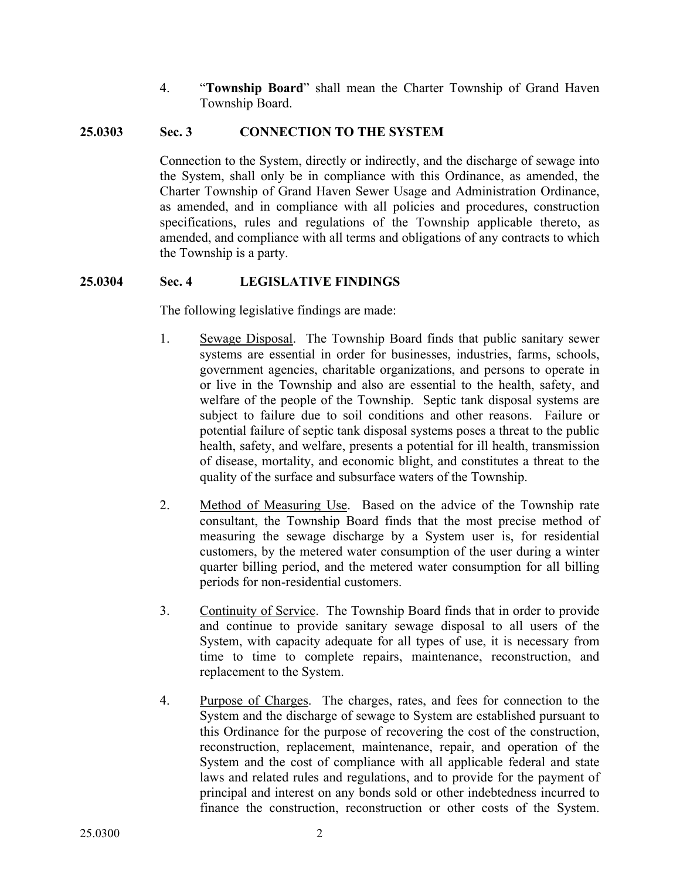4. "**Township Board**" shall mean the Charter Township of Grand Haven Township Board.

#### **25.0303 Sec. 3 CONNECTION TO THE SYSTEM**

Connection to the System, directly or indirectly, and the discharge of sewage into the System, shall only be in compliance with this Ordinance, as amended, the Charter Township of Grand Haven Sewer Usage and Administration Ordinance, as amended, and in compliance with all policies and procedures, construction specifications, rules and regulations of the Township applicable thereto, as amended, and compliance with all terms and obligations of any contracts to which the Township is a party.

#### **25.0304 Sec. 4 LEGISLATIVE FINDINGS**

The following legislative findings are made:

- 1. Sewage Disposal. The Township Board finds that public sanitary sewer systems are essential in order for businesses, industries, farms, schools, government agencies, charitable organizations, and persons to operate in or live in the Township and also are essential to the health, safety, and welfare of the people of the Township. Septic tank disposal systems are subject to failure due to soil conditions and other reasons. Failure or potential failure of septic tank disposal systems poses a threat to the public health, safety, and welfare, presents a potential for ill health, transmission of disease, mortality, and economic blight, and constitutes a threat to the quality of the surface and subsurface waters of the Township.
- 2. Method of Measuring Use. Based on the advice of the Township rate consultant, the Township Board finds that the most precise method of measuring the sewage discharge by a System user is, for residential customers, by the metered water consumption of the user during a winter quarter billing period, and the metered water consumption for all billing periods for non-residential customers.
- 3. Continuity of Service. The Township Board finds that in order to provide and continue to provide sanitary sewage disposal to all users of the System, with capacity adequate for all types of use, it is necessary from time to time to complete repairs, maintenance, reconstruction, and replacement to the System.
- 4. Purpose of Charges. The charges, rates, and fees for connection to the System and the discharge of sewage to System are established pursuant to this Ordinance for the purpose of recovering the cost of the construction, reconstruction, replacement, maintenance, repair, and operation of the System and the cost of compliance with all applicable federal and state laws and related rules and regulations, and to provide for the payment of principal and interest on any bonds sold or other indebtedness incurred to finance the construction, reconstruction or other costs of the System.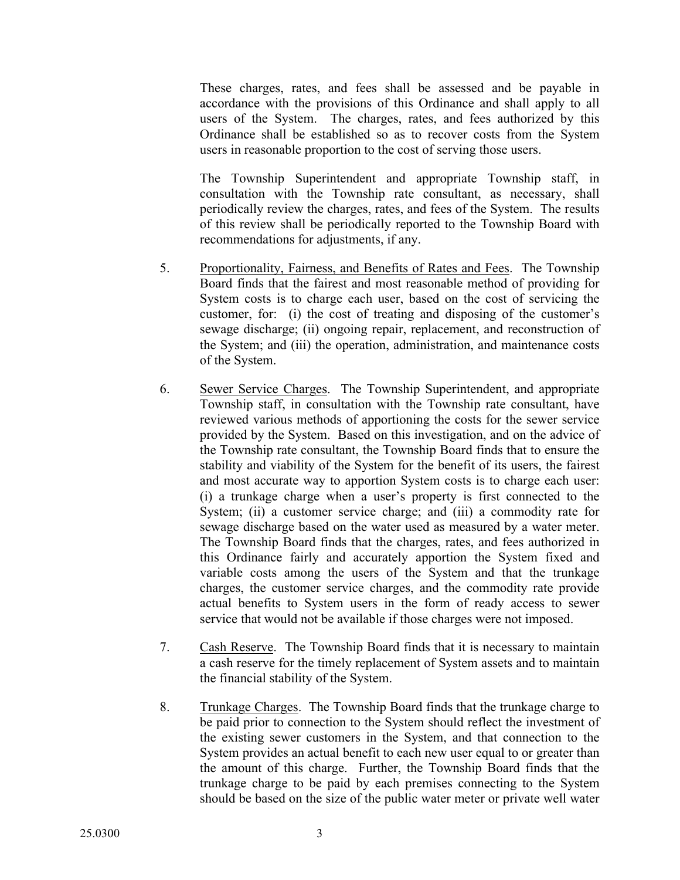These charges, rates, and fees shall be assessed and be payable in accordance with the provisions of this Ordinance and shall apply to all users of the System. The charges, rates, and fees authorized by this Ordinance shall be established so as to recover costs from the System users in reasonable proportion to the cost of serving those users.

The Township Superintendent and appropriate Township staff, in consultation with the Township rate consultant, as necessary, shall periodically review the charges, rates, and fees of the System. The results of this review shall be periodically reported to the Township Board with recommendations for adjustments, if any.

- 5. Proportionality, Fairness, and Benefits of Rates and Fees. The Township Board finds that the fairest and most reasonable method of providing for System costs is to charge each user, based on the cost of servicing the customer, for: (i) the cost of treating and disposing of the customer's sewage discharge; (ii) ongoing repair, replacement, and reconstruction of the System; and (iii) the operation, administration, and maintenance costs of the System.
- 6. Sewer Service Charges. The Township Superintendent, and appropriate Township staff, in consultation with the Township rate consultant, have reviewed various methods of apportioning the costs for the sewer service provided by the System. Based on this investigation, and on the advice of the Township rate consultant, the Township Board finds that to ensure the stability and viability of the System for the benefit of its users, the fairest and most accurate way to apportion System costs is to charge each user: (i) a trunkage charge when a user's property is first connected to the System; (ii) a customer service charge; and (iii) a commodity rate for sewage discharge based on the water used as measured by a water meter. The Township Board finds that the charges, rates, and fees authorized in this Ordinance fairly and accurately apportion the System fixed and variable costs among the users of the System and that the trunkage charges, the customer service charges, and the commodity rate provide actual benefits to System users in the form of ready access to sewer service that would not be available if those charges were not imposed.
- 7. Cash Reserve. The Township Board finds that it is necessary to maintain a cash reserve for the timely replacement of System assets and to maintain the financial stability of the System.
- 8. Trunkage Charges. The Township Board finds that the trunkage charge to be paid prior to connection to the System should reflect the investment of the existing sewer customers in the System, and that connection to the System provides an actual benefit to each new user equal to or greater than the amount of this charge. Further, the Township Board finds that the trunkage charge to be paid by each premises connecting to the System should be based on the size of the public water meter or private well water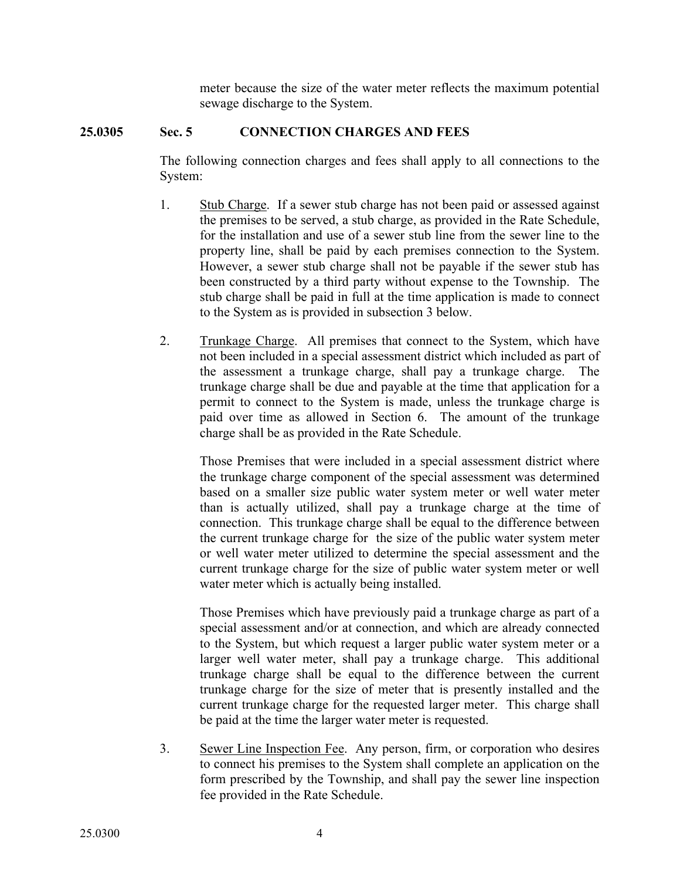meter because the size of the water meter reflects the maximum potential sewage discharge to the System.

# **25.0305 Sec. 5 CONNECTION CHARGES AND FEES**

The following connection charges and fees shall apply to all connections to the System:

- 1. Stub Charge. If a sewer stub charge has not been paid or assessed against the premises to be served, a stub charge, as provided in the Rate Schedule, for the installation and use of a sewer stub line from the sewer line to the property line, shall be paid by each premises connection to the System. However, a sewer stub charge shall not be payable if the sewer stub has been constructed by a third party without expense to the Township. The stub charge shall be paid in full at the time application is made to connect to the System as is provided in subsection 3 below.
- 2. Trunkage Charge. All premises that connect to the System, which have not been included in a special assessment district which included as part of the assessment a trunkage charge, shall pay a trunkage charge. The trunkage charge shall be due and payable at the time that application for a permit to connect to the System is made, unless the trunkage charge is paid over time as allowed in Section 6. The amount of the trunkage charge shall be as provided in the Rate Schedule.

Those Premises that were included in a special assessment district where the trunkage charge component of the special assessment was determined based on a smaller size public water system meter or well water meter than is actually utilized, shall pay a trunkage charge at the time of connection. This trunkage charge shall be equal to the difference between the current trunkage charge for the size of the public water system meter or well water meter utilized to determine the special assessment and the current trunkage charge for the size of public water system meter or well water meter which is actually being installed.

Those Premises which have previously paid a trunkage charge as part of a special assessment and/or at connection, and which are already connected to the System, but which request a larger public water system meter or a larger well water meter, shall pay a trunkage charge. This additional trunkage charge shall be equal to the difference between the current trunkage charge for the size of meter that is presently installed and the current trunkage charge for the requested larger meter. This charge shall be paid at the time the larger water meter is requested.

3. Sewer Line Inspection Fee. Any person, firm, or corporation who desires to connect his premises to the System shall complete an application on the form prescribed by the Township, and shall pay the sewer line inspection fee provided in the Rate Schedule.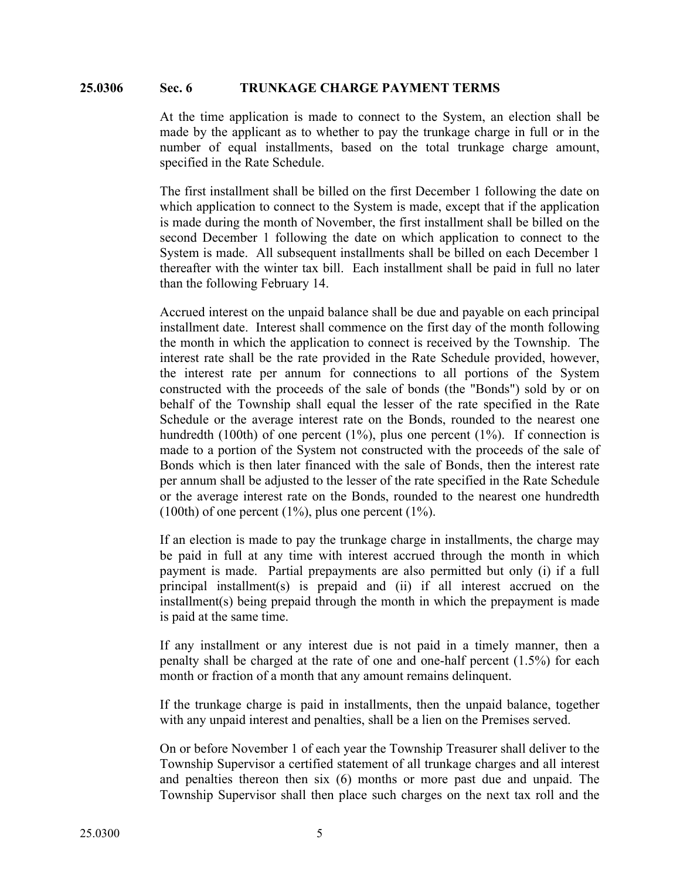#### **25.0306 Sec. 6 TRUNKAGE CHARGE PAYMENT TERMS**

At the time application is made to connect to the System, an election shall be made by the applicant as to whether to pay the trunkage charge in full or in the number of equal installments, based on the total trunkage charge amount, specified in the Rate Schedule.

The first installment shall be billed on the first December 1 following the date on which application to connect to the System is made, except that if the application is made during the month of November, the first installment shall be billed on the second December 1 following the date on which application to connect to the System is made. All subsequent installments shall be billed on each December 1 thereafter with the winter tax bill. Each installment shall be paid in full no later than the following February 14.

Accrued interest on the unpaid balance shall be due and payable on each principal installment date. Interest shall commence on the first day of the month following the month in which the application to connect is received by the Township. The interest rate shall be the rate provided in the Rate Schedule provided, however, the interest rate per annum for connections to all portions of the System constructed with the proceeds of the sale of bonds (the "Bonds") sold by or on behalf of the Township shall equal the lesser of the rate specified in the Rate Schedule or the average interest rate on the Bonds, rounded to the nearest one hundredth (100th) of one percent  $(1\%)$ , plus one percent  $(1\%)$ . If connection is made to a portion of the System not constructed with the proceeds of the sale of Bonds which is then later financed with the sale of Bonds, then the interest rate per annum shall be adjusted to the lesser of the rate specified in the Rate Schedule or the average interest rate on the Bonds, rounded to the nearest one hundredth  $(100th)$  of one percent  $(1\%)$ , plus one percent  $(1\%)$ .

If an election is made to pay the trunkage charge in installments, the charge may be paid in full at any time with interest accrued through the month in which payment is made. Partial prepayments are also permitted but only (i) if a full principal installment(s) is prepaid and (ii) if all interest accrued on the installment(s) being prepaid through the month in which the prepayment is made is paid at the same time.

If any installment or any interest due is not paid in a timely manner, then a penalty shall be charged at the rate of one and one-half percent (1.5%) for each month or fraction of a month that any amount remains delinquent.

If the trunkage charge is paid in installments, then the unpaid balance, together with any unpaid interest and penalties, shall be a lien on the Premises served.

On or before November 1 of each year the Township Treasurer shall deliver to the Township Supervisor a certified statement of all trunkage charges and all interest and penalties thereon then six (6) months or more past due and unpaid. The Township Supervisor shall then place such charges on the next tax roll and the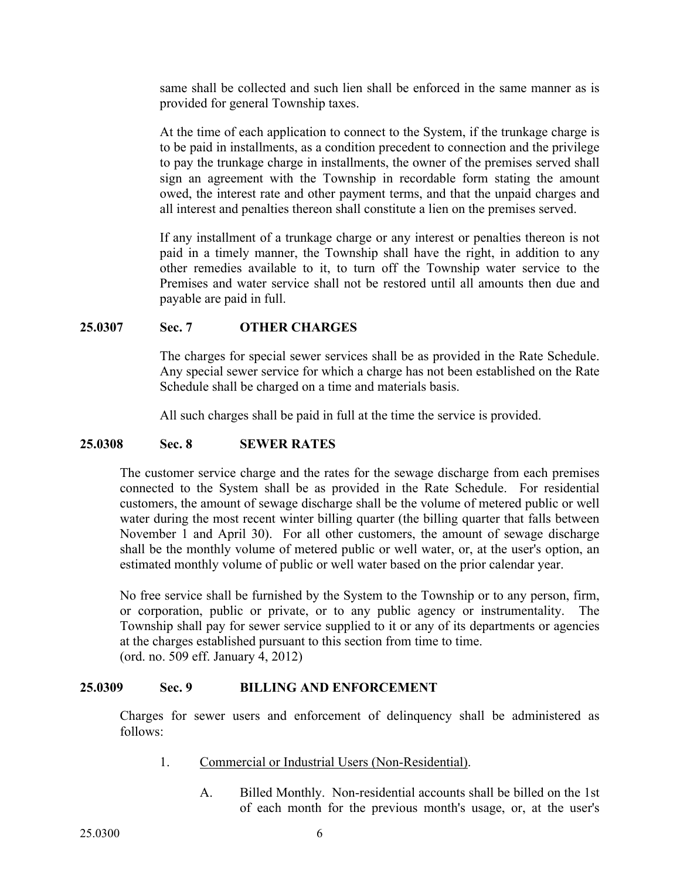same shall be collected and such lien shall be enforced in the same manner as is provided for general Township taxes.

At the time of each application to connect to the System, if the trunkage charge is to be paid in installments, as a condition precedent to connection and the privilege to pay the trunkage charge in installments, the owner of the premises served shall sign an agreement with the Township in recordable form stating the amount owed, the interest rate and other payment terms, and that the unpaid charges and all interest and penalties thereon shall constitute a lien on the premises served.

If any installment of a trunkage charge or any interest or penalties thereon is not paid in a timely manner, the Township shall have the right, in addition to any other remedies available to it, to turn off the Township water service to the Premises and water service shall not be restored until all amounts then due and payable are paid in full.

#### **25.0307 Sec. 7 OTHER CHARGES**

The charges for special sewer services shall be as provided in the Rate Schedule. Any special sewer service for which a charge has not been established on the Rate Schedule shall be charged on a time and materials basis.

All such charges shall be paid in full at the time the service is provided.

#### **25.0308 Sec. 8 SEWER RATES**

The customer service charge and the rates for the sewage discharge from each premises connected to the System shall be as provided in the Rate Schedule. For residential customers, the amount of sewage discharge shall be the volume of metered public or well water during the most recent winter billing quarter (the billing quarter that falls between November 1 and April 30). For all other customers, the amount of sewage discharge shall be the monthly volume of metered public or well water, or, at the user's option, an estimated monthly volume of public or well water based on the prior calendar year.

No free service shall be furnished by the System to the Township or to any person, firm, or corporation, public or private, or to any public agency or instrumentality. The Township shall pay for sewer service supplied to it or any of its departments or agencies at the charges established pursuant to this section from time to time. (ord. no. 509 eff. January 4, 2012)

#### **25.0309 Sec. 9 BILLING AND ENFORCEMENT**

Charges for sewer users and enforcement of delinquency shall be administered as follows:

- 1. Commercial or Industrial Users (Non-Residential).
	- A. Billed Monthly. Non-residential accounts shall be billed on the 1st of each month for the previous month's usage, or, at the user's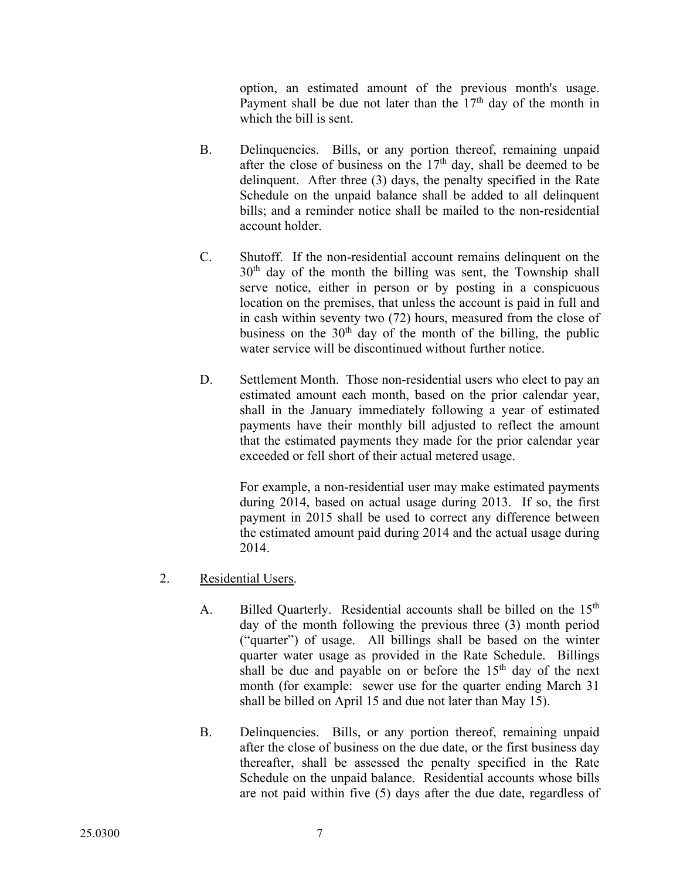option, an estimated amount of the previous month's usage. Payment shall be due not later than the  $17<sup>th</sup>$  day of the month in which the bill is sent.

- B. Delinquencies. Bills, or any portion thereof, remaining unpaid after the close of business on the  $17<sup>th</sup>$  day, shall be deemed to be delinquent. After three (3) days, the penalty specified in the Rate Schedule on the unpaid balance shall be added to all delinquent bills; and a reminder notice shall be mailed to the non-residential account holder.
- C. Shutoff. If the non-residential account remains delinquent on the  $30<sup>th</sup>$  day of the month the billing was sent, the Township shall serve notice, either in person or by posting in a conspicuous location on the premises, that unless the account is paid in full and in cash within seventy two (72) hours, measured from the close of business on the  $30<sup>th</sup>$  day of the month of the billing, the public water service will be discontinued without further notice.
- D. Settlement Month. Those non-residential users who elect to pay an estimated amount each month, based on the prior calendar year, shall in the January immediately following a year of estimated payments have their monthly bill adjusted to reflect the amount that the estimated payments they made for the prior calendar year exceeded or fell short of their actual metered usage.

For example, a non-residential user may make estimated payments during 2014, based on actual usage during 2013. If so, the first payment in 2015 shall be used to correct any difference between the estimated amount paid during 2014 and the actual usage during 2014.

- 2. Residential Users.
	- A. Billed Quarterly. Residential accounts shall be billed on the 15<sup>th</sup> day of the month following the previous three (3) month period ("quarter") of usage. All billings shall be based on the winter quarter water usage as provided in the Rate Schedule. Billings shall be due and payable on or before the  $15<sup>th</sup>$  day of the next month (for example: sewer use for the quarter ending March 31 shall be billed on April 15 and due not later than May 15).
	- B. Delinquencies. Bills, or any portion thereof, remaining unpaid after the close of business on the due date, or the first business day thereafter, shall be assessed the penalty specified in the Rate Schedule on the unpaid balance. Residential accounts whose bills are not paid within five (5) days after the due date, regardless of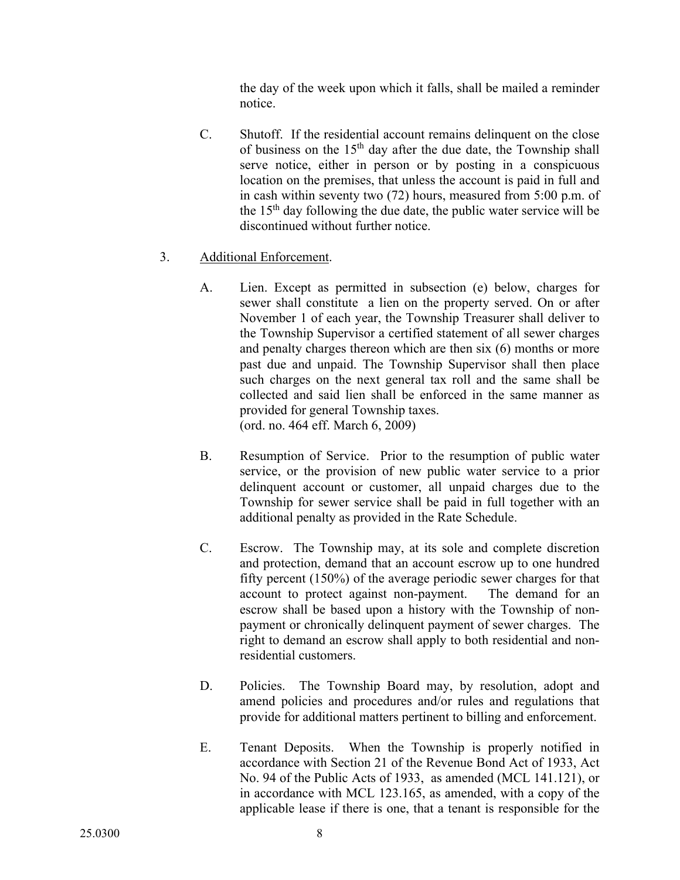the day of the week upon which it falls, shall be mailed a reminder notice.

C. Shutoff. If the residential account remains delinquent on the close of business on the  $15<sup>th</sup>$  day after the due date, the Township shall serve notice, either in person or by posting in a conspicuous location on the premises, that unless the account is paid in full and in cash within seventy two (72) hours, measured from 5:00 p.m. of the  $15<sup>th</sup>$  day following the due date, the public water service will be discontinued without further notice.

# 3. Additional Enforcement.

- A. Lien. Except as permitted in subsection (e) below, charges for sewer shall constitute a lien on the property served. On or after November 1 of each year, the Township Treasurer shall deliver to the Township Supervisor a certified statement of all sewer charges and penalty charges thereon which are then six (6) months or more past due and unpaid. The Township Supervisor shall then place such charges on the next general tax roll and the same shall be collected and said lien shall be enforced in the same manner as provided for general Township taxes. (ord. no. 464 eff. March 6, 2009)
- B. Resumption of Service. Prior to the resumption of public water service, or the provision of new public water service to a prior delinquent account or customer, all unpaid charges due to the Township for sewer service shall be paid in full together with an additional penalty as provided in the Rate Schedule.
- C. Escrow. The Township may, at its sole and complete discretion and protection, demand that an account escrow up to one hundred fifty percent (150%) of the average periodic sewer charges for that account to protect against non-payment. The demand for an escrow shall be based upon a history with the Township of nonpayment or chronically delinquent payment of sewer charges. The right to demand an escrow shall apply to both residential and nonresidential customers.
- D. Policies. The Township Board may, by resolution, adopt and amend policies and procedures and/or rules and regulations that provide for additional matters pertinent to billing and enforcement.
- E. Tenant Deposits. When the Township is properly notified in accordance with Section 21 of the Revenue Bond Act of 1933, Act No. 94 of the Public Acts of 1933, as amended (MCL 141.121), or in accordance with MCL 123.165, as amended, with a copy of the applicable lease if there is one, that a tenant is responsible for the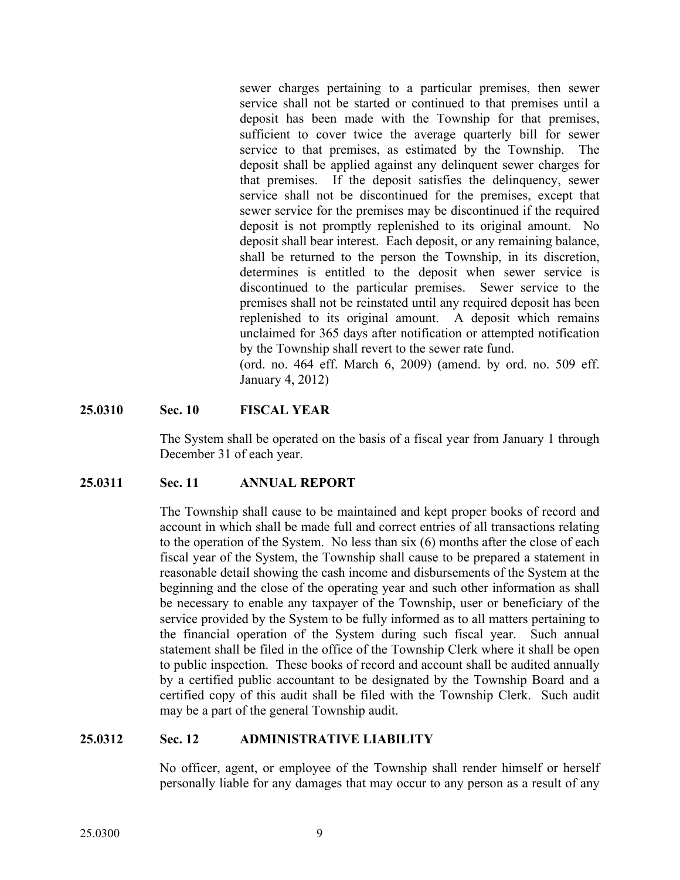sewer charges pertaining to a particular premises, then sewer service shall not be started or continued to that premises until a deposit has been made with the Township for that premises, sufficient to cover twice the average quarterly bill for sewer service to that premises, as estimated by the Township. The deposit shall be applied against any delinquent sewer charges for that premises. If the deposit satisfies the delinquency, sewer service shall not be discontinued for the premises, except that sewer service for the premises may be discontinued if the required deposit is not promptly replenished to its original amount. No deposit shall bear interest. Each deposit, or any remaining balance, shall be returned to the person the Township, in its discretion, determines is entitled to the deposit when sewer service is discontinued to the particular premises. Sewer service to the premises shall not be reinstated until any required deposit has been replenished to its original amount. A deposit which remains unclaimed for 365 days after notification or attempted notification by the Township shall revert to the sewer rate fund.

(ord. no. 464 eff. March 6, 2009) (amend. by ord. no. 509 eff. January 4, 2012)

#### **25.0310 Sec. 10 FISCAL YEAR**

The System shall be operated on the basis of a fiscal year from January 1 through December 31 of each year.

#### **25.0311 Sec. 11 ANNUAL REPORT**

The Township shall cause to be maintained and kept proper books of record and account in which shall be made full and correct entries of all transactions relating to the operation of the System. No less than six (6) months after the close of each fiscal year of the System, the Township shall cause to be prepared a statement in reasonable detail showing the cash income and disbursements of the System at the beginning and the close of the operating year and such other information as shall be necessary to enable any taxpayer of the Township, user or beneficiary of the service provided by the System to be fully informed as to all matters pertaining to the financial operation of the System during such fiscal year. Such annual statement shall be filed in the office of the Township Clerk where it shall be open to public inspection. These books of record and account shall be audited annually by a certified public accountant to be designated by the Township Board and a certified copy of this audit shall be filed with the Township Clerk. Such audit may be a part of the general Township audit.

#### **25.0312 Sec. 12 ADMINISTRATIVE LIABILITY**

No officer, agent, or employee of the Township shall render himself or herself personally liable for any damages that may occur to any person as a result of any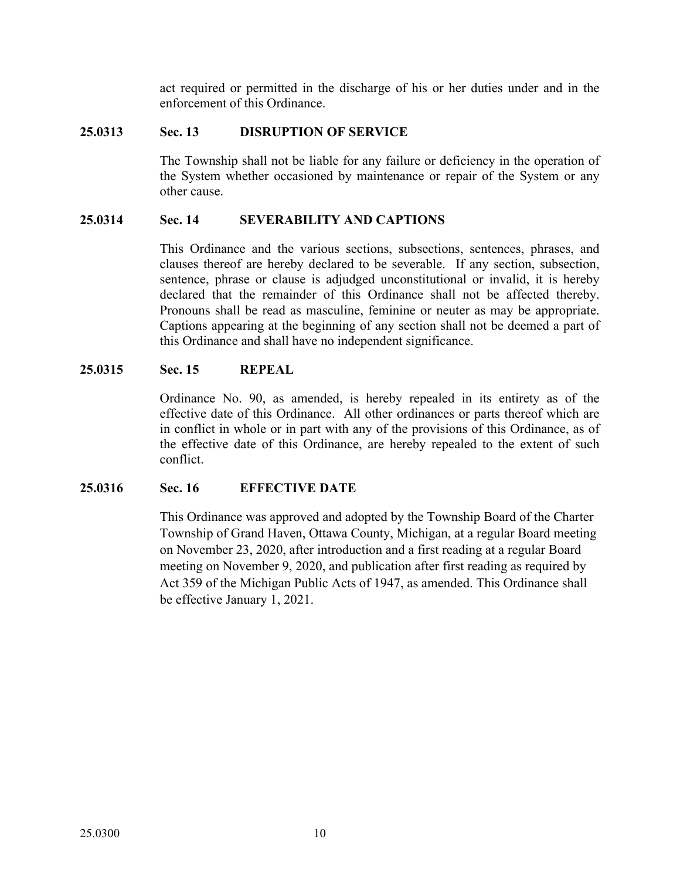act required or permitted in the discharge of his or her duties under and in the enforcement of this Ordinance.

#### **25.0313 Sec. 13 DISRUPTION OF SERVICE**

The Township shall not be liable for any failure or deficiency in the operation of the System whether occasioned by maintenance or repair of the System or any other cause.

#### **25.0314 Sec. 14 SEVERABILITY AND CAPTIONS**

This Ordinance and the various sections, subsections, sentences, phrases, and clauses thereof are hereby declared to be severable. If any section, subsection, sentence, phrase or clause is adjudged unconstitutional or invalid, it is hereby declared that the remainder of this Ordinance shall not be affected thereby. Pronouns shall be read as masculine, feminine or neuter as may be appropriate. Captions appearing at the beginning of any section shall not be deemed a part of this Ordinance and shall have no independent significance.

#### **25.0315 Sec. 15 REPEAL**

Ordinance No. 90, as amended, is hereby repealed in its entirety as of the effective date of this Ordinance. All other ordinances or parts thereof which are in conflict in whole or in part with any of the provisions of this Ordinance, as of the effective date of this Ordinance, are hereby repealed to the extent of such conflict.

# **25.0316 Sec. 16 EFFECTIVE DATE**

This Ordinance was approved and adopted by the Township Board of the Charter Township of Grand Haven, Ottawa County, Michigan, at a regular Board meeting on November 23, 2020, after introduction and a first reading at a regular Board meeting on November 9, 2020, and publication after first reading as required by Act 359 of the Michigan Public Acts of 1947, as amended. This Ordinance shall be effective January 1, 2021.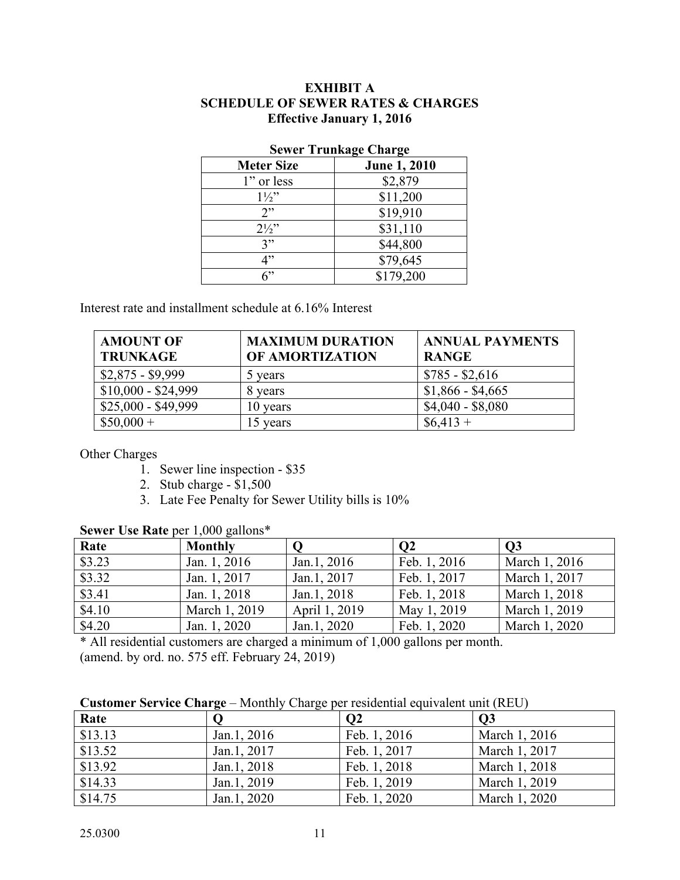#### **EXHIBIT A SCHEDULE OF SEWER RATES & CHARGES Effective January 1, 2016**

| <b>Meter Size</b> | <b>June 1, 2010</b> |  |  |
|-------------------|---------------------|--|--|
| 1" or less        | \$2,879             |  |  |
| $1\frac{1}{2}$    | \$11,200            |  |  |
| 2                 | \$19,910            |  |  |
| $2\frac{1}{2}$    | \$31,110            |  |  |
| 3"                | \$44,800            |  |  |
| 4"                | \$79,645            |  |  |
| ና"                | \$179,200           |  |  |

#### **Sewer Trunkage Charge**

Interest rate and installment schedule at 6.16% Interest

| <b>AMOUNT OF</b><br><b>TRUNKAGE</b> | <b>MAXIMUM DURATION</b><br>OF AMORTIZATION | <b>ANNUAL PAYMENTS</b><br><b>RANGE</b> |
|-------------------------------------|--------------------------------------------|----------------------------------------|
| $$2,875 - $9,999$                   | 5 years                                    | $$785 - $2,616$                        |
| $$10,000 - $24,999$                 | 8 years                                    | $$1,866 - $4,665$                      |
| $$25,000 - $49,999$                 | 10 years                                   | $$4,040 - $8,080$                      |
| $$50,000+$                          | 15 years                                   | $$6,413+$                              |

Other Charges

- 1. Sewer line inspection \$35
- 2. Stub charge \$1,500
- 3. Late Fee Penalty for Sewer Utility bills is 10%

| Rate   | <b>Monthly</b> |               | O2           | $\overline{O3}$ |
|--------|----------------|---------------|--------------|-----------------|
| \$3.23 | Jan. 1, 2016   | Jan.1, 2016   | Feb. 1, 2016 | March 1, 2016   |
| \$3.32 | Jan. 1, 2017   | Jan.1, 2017   | Feb. 1, 2017 | March 1, 2017   |
| \$3.41 | Jan. 1, 2018   | Jan.1, 2018   | Feb. 1, 2018 | March 1, 2018   |
| \$4.10 | March 1, 2019  | April 1, 2019 | May 1, 2019  | March 1, 2019   |
| \$4.20 | Jan. 1, 2020   | Jan.1, 2020   | Feb. 1, 2020 | March 1, 2020   |

#### **Sewer Use Rate** per 1,000 gallons\*

\* All residential customers are charged a minimum of 1,000 gallons per month. (amend. by ord. no. 575 eff. February 24, 2019)

|  | <b>Customer Service Charge</b> – Monthly Charge per residential equivalent unit (REU) |  |
|--|---------------------------------------------------------------------------------------|--|
|--|---------------------------------------------------------------------------------------|--|

| Rate    |             | $\bf{O}2$    | $\overline{O3}$ |
|---------|-------------|--------------|-----------------|
| \$13.13 | Jan.1, 2016 | Feb. 1, 2016 | March 1, 2016   |
| \$13.52 | Jan.1, 2017 | Feb. 1, 2017 | March 1, 2017   |
| \$13.92 | Jan.1, 2018 | Feb. 1, 2018 | March 1, 2018   |
| \$14.33 | Jan.1, 2019 | Feb. 1, 2019 | March 1, 2019   |
| \$14.75 | Jan.1, 2020 | Feb. 1, 2020 | March 1, 2020   |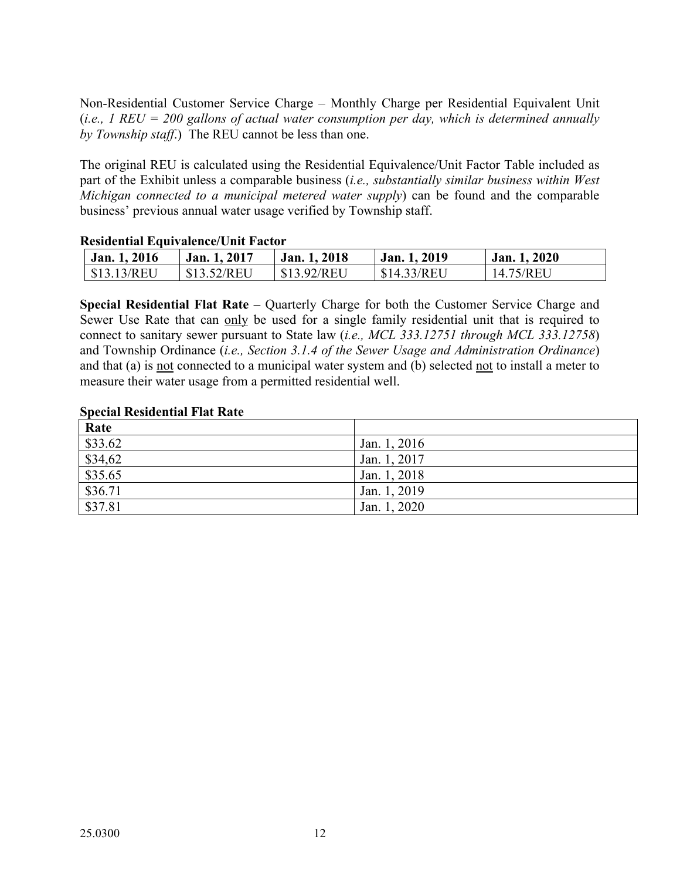Non-Residential Customer Service Charge – Monthly Charge per Residential Equivalent Unit (*i.e., 1 REU = 200 gallons of actual water consumption per day, which is determined annually by Township staff*.) The REU cannot be less than one.

The original REU is calculated using the Residential Equivalence/Unit Factor Table included as part of the Exhibit unless a comparable business (*i.e., substantially similar business within West Michigan connected to a municipal metered water supply*) can be found and the comparable business' previous annual water usage verified by Township staff.

#### **Residential Equivalence/Unit Factor**

| Jan. 1, 2016 | Jan. 1, 2017 | Jan. 1, 2018 | Jan. 1, 2019 | Jan. 1, 2020 |
|--------------|--------------|--------------|--------------|--------------|
| \$13.13/REU  | \$13.52/REU  | \$13.92/REU  | \$14.33/REU  | 14.75/REU    |

**Special Residential Flat Rate** – Quarterly Charge for both the Customer Service Charge and Sewer Use Rate that can only be used for a single family residential unit that is required to connect to sanitary sewer pursuant to State law (*i.e., MCL 333.12751 through MCL 333.12758*) and Township Ordinance (*i.e., Section 3.1.4 of the Sewer Usage and Administration Ordinance*) and that (a) is not connected to a municipal water system and (b) selected not to install a meter to measure their water usage from a permitted residential well.

#### **Special Residential Flat Rate**

| Rate    |              |
|---------|--------------|
| \$33.62 | Jan. 1, 2016 |
| \$34,62 | Jan. 1, 2017 |
| \$35.65 | Jan. 1, 2018 |
| \$36.71 | Jan. 1, 2019 |
| \$37.81 | Jan. 1, 2020 |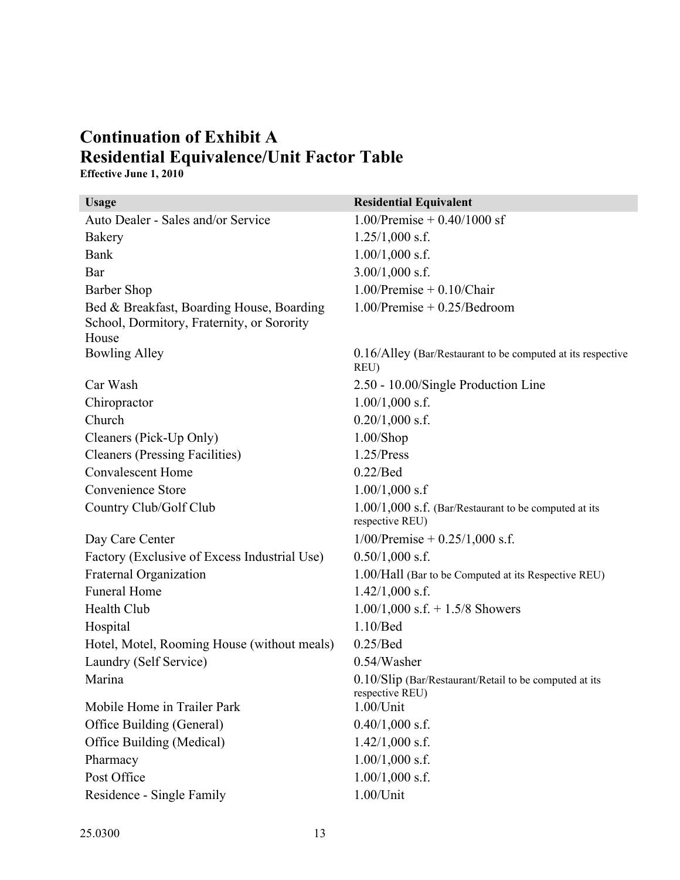# **Continuation of Exhibit A Residential Equivalence/Unit Factor Table**

**Effective June 1, 2010**

| <b>Usage</b>                                                                                     | <b>Residential Equivalent</b>                                              |
|--------------------------------------------------------------------------------------------------|----------------------------------------------------------------------------|
| Auto Dealer - Sales and/or Service                                                               | $1.00$ /Premise + 0.40/1000 sf                                             |
| Bakery                                                                                           | $1.25/1,000$ s.f.                                                          |
| Bank                                                                                             | $1.00/1,000$ s.f.                                                          |
| Bar                                                                                              | $3.00/1,000$ s.f.                                                          |
| <b>Barber Shop</b>                                                                               | $1.00$ /Premise + $0.10$ /Chair                                            |
| Bed & Breakfast, Boarding House, Boarding<br>School, Dormitory, Fraternity, or Sorority<br>House | $1.00$ /Premise + $0.25$ /Bedroom                                          |
| <b>Bowling Alley</b>                                                                             | 0.16/Alley (Bar/Restaurant to be computed at its respective<br>REU)        |
| Car Wash                                                                                         | 2.50 - 10.00/Single Production Line                                        |
| Chiropractor                                                                                     | $1.00/1,000$ s.f.                                                          |
| Church                                                                                           | $0.20/1,000$ s.f.                                                          |
| Cleaners (Pick-Up Only)                                                                          | $1.00$ /Shop                                                               |
| <b>Cleaners (Pressing Facilities)</b>                                                            | 1.25/Press                                                                 |
| <b>Convalescent Home</b>                                                                         | $0.22/$ Bed                                                                |
| Convenience Store                                                                                | $1.00/1,000$ s.f                                                           |
| Country Club/Golf Club                                                                           | $1.00/1,000$ s.f. (Bar/Restaurant to be computed at its<br>respective REU) |
| Day Care Center                                                                                  | $1/00$ /Premise + 0.25/1,000 s.f.                                          |
| Factory (Exclusive of Excess Industrial Use)                                                     | $0.50/1,000$ s.f.                                                          |
| Fraternal Organization                                                                           | 1.00/Hall (Bar to be Computed at its Respective REU)                       |
| <b>Funeral Home</b>                                                                              | $1.42/1,000$ s.f.                                                          |
| Health Club                                                                                      | $1.00/1,000$ s.f. $+ 1.5/8$ Showers                                        |
| Hospital                                                                                         | $1.10/$ Bed                                                                |
| Hotel, Motel, Rooming House (without meals)                                                      | 0.25/Bed                                                                   |
| Laundry (Self Service)                                                                           | $0.54$ /Washer                                                             |
| Marina                                                                                           | 0.10/Slip (Bar/Restaurant/Retail to be computed at its<br>respective REU)  |
| Mobile Home in Trailer Park                                                                      | $1.00$ /Unit                                                               |
| Office Building (General)                                                                        | $0.40/1,000$ s.f.                                                          |
| Office Building (Medical)                                                                        | $1.42/1,000$ s.f.                                                          |
| Pharmacy                                                                                         | $1.00/1,000$ s.f.                                                          |
| Post Office                                                                                      | $1.00/1,000$ s.f.                                                          |
| Residence - Single Family                                                                        | $1.00$ /Unit                                                               |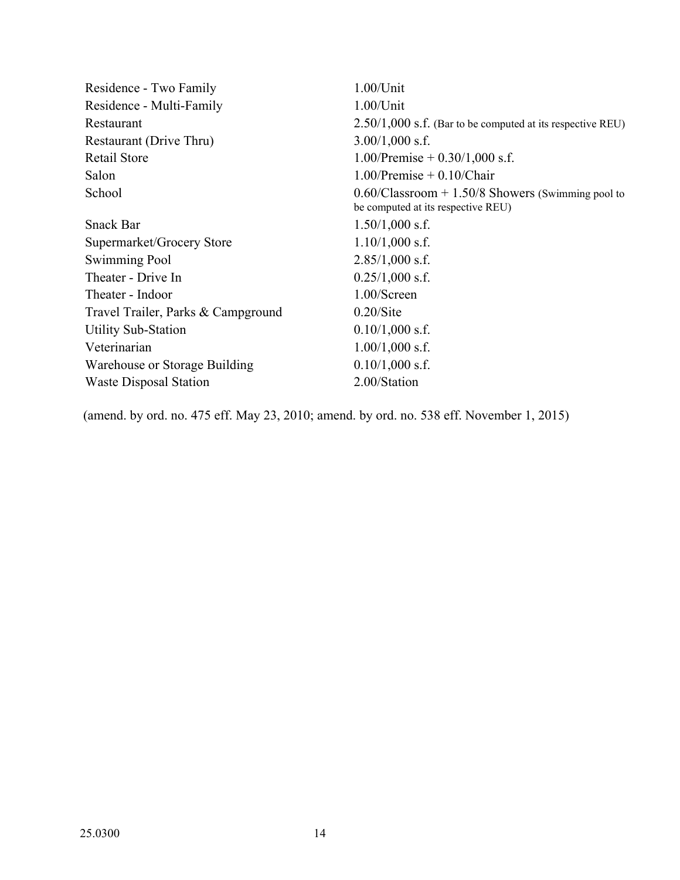| $1.00$ /Unit                                                                               |
|--------------------------------------------------------------------------------------------|
| $1.00$ /Unit                                                                               |
| $2.50/1,000$ s.f. (Bar to be computed at its respective REU)                               |
| $3.00/1,000$ s.f.                                                                          |
| 1.00/Premise $+$ 0.30/1,000 s.f.                                                           |
| $1.00$ /Premise + 0.10/Chair                                                               |
| $0.60$ /Classroom + 1.50/8 Showers (Swimming pool to<br>be computed at its respective REU) |
| $1.50/1,000$ s.f.                                                                          |
| $1.10/1,000$ s.f.                                                                          |
| $2.85/1,000$ s.f.                                                                          |
| $0.25/1,000$ s.f.                                                                          |
| 1.00/Screen                                                                                |
| $0.20$ /Site                                                                               |
| $0.10/1,000$ s.f.                                                                          |
| $1.00/1,000$ s.f.                                                                          |
| $0.10/1,000$ s.f.                                                                          |
| 2.00/Station                                                                               |
|                                                                                            |

(amend. by ord. no. 475 eff. May 23, 2010; amend. by ord. no. 538 eff. November 1, 2015)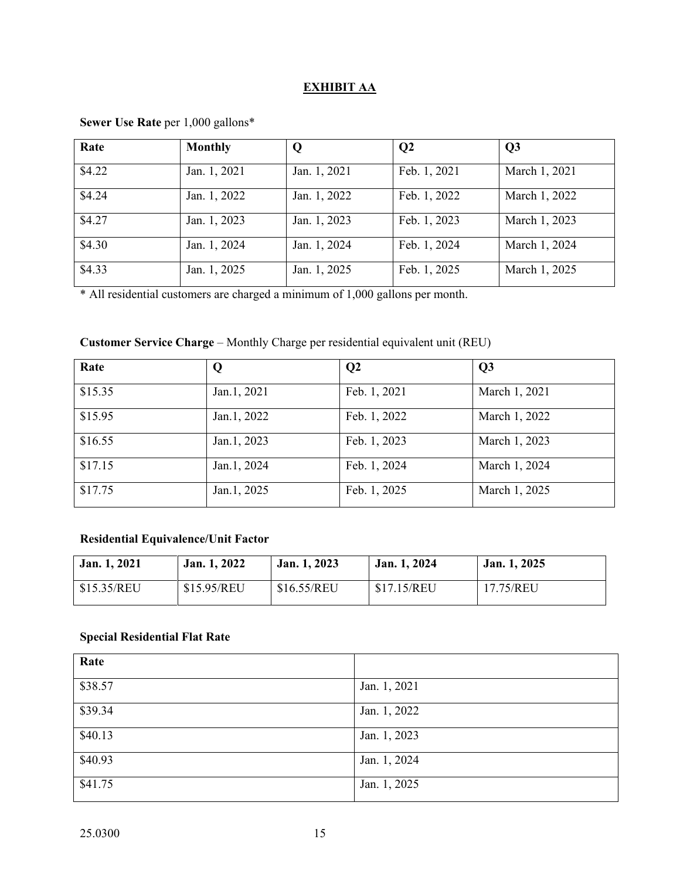# **EXHIBIT AA**

| Rate   | <b>Monthly</b> | Q            | $\overline{Q}2$ | Q3            |
|--------|----------------|--------------|-----------------|---------------|
| \$4.22 | Jan. 1, 2021   | Jan. 1, 2021 | Feb. 1, 2021    | March 1, 2021 |
| \$4.24 | Jan. 1, 2022   | Jan. 1, 2022 | Feb. 1, 2022    | March 1, 2022 |
| \$4.27 | Jan. 1, 2023   | Jan. 1, 2023 | Feb. 1, 2023    | March 1, 2023 |
| \$4.30 | Jan. 1, 2024   | Jan. 1, 2024 | Feb. 1, 2024    | March 1, 2024 |
| \$4.33 | Jan. 1, 2025   | Jan. 1, 2025 | Feb. 1, 2025    | March 1, 2025 |

# **Sewer Use Rate** per 1,000 gallons\*

\* All residential customers are charged a minimum of 1,000 gallons per month.

# **Customer Service Charge** – Monthly Charge per residential equivalent unit (REU)

| Rate    | Q           | Q <sub>2</sub> | Q3            |
|---------|-------------|----------------|---------------|
| \$15.35 | Jan.1, 2021 | Feb. 1, 2021   | March 1, 2021 |
| \$15.95 | Jan.1, 2022 | Feb. 1, 2022   | March 1, 2022 |
| \$16.55 | Jan.1, 2023 | Feb. 1, 2023   | March 1, 2023 |
| \$17.15 | Jan.1, 2024 | Feb. 1, 2024   | March 1, 2024 |
| \$17.75 | Jan.1, 2025 | Feb. 1, 2025   | March 1, 2025 |

# **Residential Equivalence/Unit Factor**

| Jan. 1, 2021 | Jan. 1, 2022 | Jan. 1, 2023 | Jan. 1, 2024 | Jan. 1, 2025 |
|--------------|--------------|--------------|--------------|--------------|
| \$15.35/REU  | \$15.95/REU  | \$16.55/REU  | \$17.15/REU  | 17.75/REU    |

# **Special Residential Flat Rate**

| Rate    |              |
|---------|--------------|
| \$38.57 | Jan. 1, 2021 |
| \$39.34 | Jan. 1, 2022 |
| \$40.13 | Jan. 1, 2023 |
| \$40.93 | Jan. 1, 2024 |
| \$41.75 | Jan. 1, 2025 |